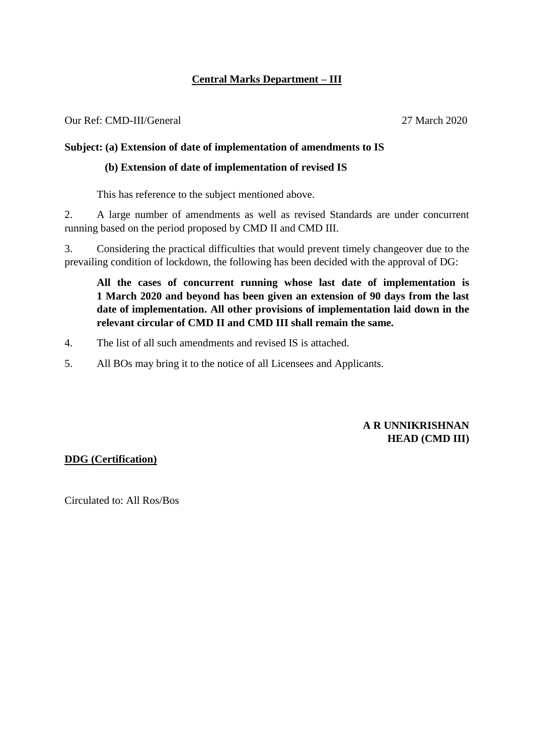## **Central Marks Department – III**

Our Ref: CMD-III/General 27 March 2020

#### **Subject: (a) Extension of date of implementation of amendments to IS**

#### **(b) Extension of date of implementation of revised IS**

This has reference to the subject mentioned above.

2. A large number of amendments as well as revised Standards are under concurrent running based on the period proposed by CMD II and CMD III.

3. Considering the practical difficulties that would prevent timely changeover due to the prevailing condition of lockdown, the following has been decided with the approval of DG:

**All the cases of concurrent running whose last date of implementation is 1 March 2020 and beyond has been given an extension of 90 days from the last date of implementation. All other provisions of implementation laid down in the relevant circular of CMD II and CMD III shall remain the same.**

- 4. The list of all such amendments and revised IS is attached.
- 5. All BOs may bring it to the notice of all Licensees and Applicants.

### **A R UNNIKRISHNAN HEAD (CMD III)**

#### **DDG (Certification)**

Circulated to: All Ros/Bos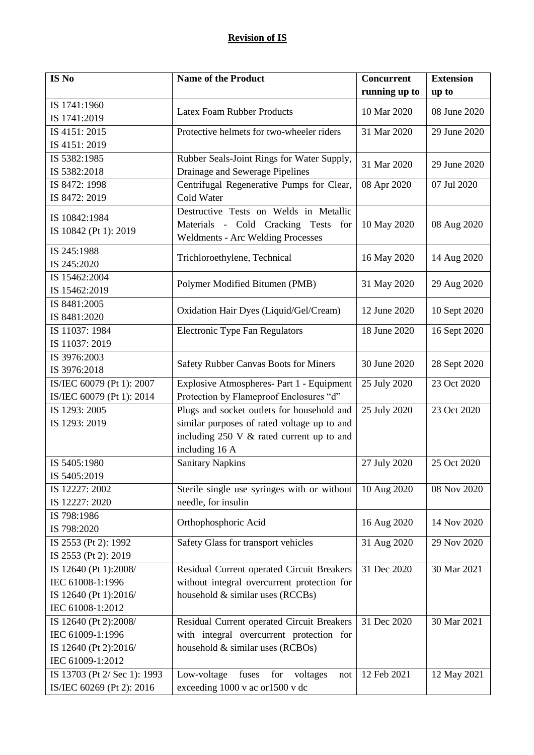| IS No                        | <b>Name of the Product</b>                                                   | <b>Concurrent</b> | <b>Extension</b> |
|------------------------------|------------------------------------------------------------------------------|-------------------|------------------|
|                              |                                                                              | running up to     | up to            |
| IS 1741:1960                 | <b>Latex Foam Rubber Products</b>                                            | 10 Mar 2020       | 08 June 2020     |
| IS 1741:2019                 |                                                                              |                   |                  |
| IS 4151: 2015                | Protective helmets for two-wheeler riders                                    | 31 Mar 2020       | 29 June 2020     |
| IS 4151: 2019                |                                                                              |                   |                  |
| IS 5382:1985<br>IS 5382:2018 | Rubber Seals-Joint Rings for Water Supply,                                   | 31 Mar 2020       | 29 June 2020     |
| IS 8472: 1998                | Drainage and Sewerage Pipelines<br>Centrifugal Regenerative Pumps for Clear, | 08 Apr 2020       | 07 Jul 2020      |
| IS 8472: 2019                | Cold Water                                                                   |                   |                  |
| IS 10842:1984                | Destructive Tests on Welds in Metallic                                       |                   |                  |
| IS 10842 (Pt 1): 2019        | Materials - Cold Cracking Tests for                                          | 10 May 2020       | 08 Aug 2020      |
|                              | Weldments - Arc Welding Processes                                            |                   |                  |
| IS 245:1988                  | Trichloroethylene, Technical                                                 | 16 May 2020       | 14 Aug 2020      |
| IS 245:2020                  |                                                                              |                   |                  |
| IS 15462:2004                | Polymer Modified Bitumen (PMB)                                               | 31 May 2020       | 29 Aug 2020      |
| IS 15462:2019                |                                                                              |                   |                  |
| IS 8481:2005<br>IS 8481:2020 | Oxidation Hair Dyes (Liquid/Gel/Cream)                                       | 12 June 2020      | 10 Sept 2020     |
| IS 11037: 1984               | <b>Electronic Type Fan Regulators</b>                                        | 18 June 2020      | 16 Sept 2020     |
| IS 11037: 2019               |                                                                              |                   |                  |
| IS 3976:2003                 |                                                                              |                   |                  |
| IS 3976:2018                 | Safety Rubber Canvas Boots for Miners                                        | 30 June 2020      | 28 Sept 2020     |
| IS/IEC 60079 (Pt 1): 2007    | Explosive Atmospheres- Part 1 - Equipment                                    | 25 July 2020      | 23 Oct 2020      |
| IS/IEC 60079 (Pt 1): 2014    | Protection by Flameproof Enclosures "d"                                      |                   |                  |
| IS 1293: 2005                | Plugs and socket outlets for household and                                   | 25 July 2020      | 23 Oct 2020      |
| IS 1293: 2019                | similar purposes of rated voltage up to and                                  |                   |                  |
|                              | including 250 V & rated current up to and                                    |                   |                  |
|                              | including 16 A                                                               |                   |                  |
| IS 5405:1980                 | <b>Sanitary Napkins</b>                                                      | 27 July 2020      | 25 Oct 2020      |
| IS 5405:2019                 |                                                                              |                   |                  |
| IS 12227: 2002               | Sterile single use syringes with or without                                  | 10 Aug 2020       | 08 Nov 2020      |
| IS 12227: 2020               | needle, for insulin                                                          |                   |                  |
| IS 798:1986<br>IS 798:2020   | Orthophosphoric Acid                                                         | 16 Aug 2020       | 14 Nov 2020      |
| IS 2553 (Pt 2): 1992         | Safety Glass for transport vehicles                                          | 31 Aug 2020       | 29 Nov 2020      |
| IS 2553 (Pt 2): 2019         |                                                                              |                   |                  |
| IS 12640 (Pt 1):2008/        | Residual Current operated Circuit Breakers                                   | 31 Dec 2020       | 30 Mar 2021      |
| IEC 61008-1:1996             | without integral overcurrent protection for                                  |                   |                  |
| IS 12640 (Pt 1):2016/        | household & similar uses (RCCBs)                                             |                   |                  |
| IEC 61008-1:2012             |                                                                              |                   |                  |
| IS 12640 (Pt 2):2008/        | Residual Current operated Circuit Breakers                                   | 31 Dec 2020       | 30 Mar 2021      |
| IEC 61009-1:1996             | with integral overcurrent protection for                                     |                   |                  |
| IS 12640 (Pt 2):2016/        | household & similar uses (RCBOs)                                             |                   |                  |
| IEC 61009-1:2012             |                                                                              |                   |                  |
| IS 13703 (Pt 2/ Sec 1): 1993 | Low-voltage<br>fuses<br>voltages<br>for<br>not                               | 12 Feb 2021       | 12 May 2021      |
| IS/IEC 60269 (Pt 2): 2016    | exceeding 1000 v ac or1500 v dc                                              |                   |                  |